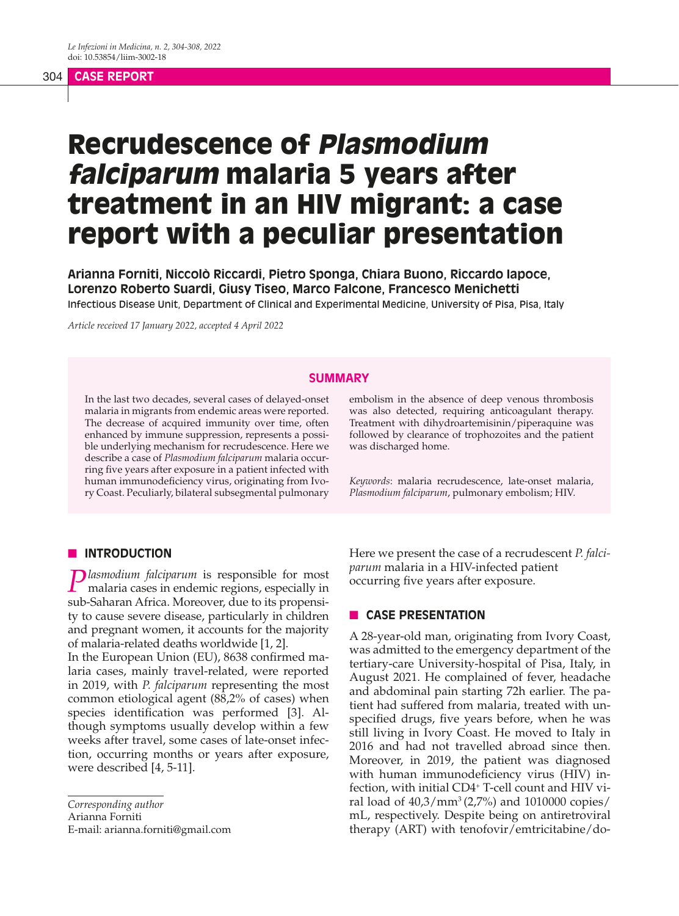#### 304 **CASE REPORT**

# Recrudescence of Plasmodium falciparum malaria 5 years after treatment in an HIV migrant: a case report with a peculiar presentation

**Arianna Forniti, Niccolò Riccardi, Pietro Sponga, Chiara Buono, Riccardo Iapoce, Lorenzo Roberto Suardi, Giusy Tiseo, Marco Falcone, Francesco Menichetti** Infectious Disease Unit, Department of Clinical and Experimental Medicine, University of Pisa, Pisa, Italy

*Article received 17 January 2022, accepted 4 April 2022*

#### **SUMMARY**

In the last two decades, several cases of delayed-onset malaria in migrants from endemic areas were reported. The decrease of acquired immunity over time, often enhanced by immune suppression, represents a possible underlying mechanism for recrudescence. Here we describe a case of *Plasmodium falciparum* malaria occurring five years after exposure in a patient infected with human immunodeficiency virus, originating from Ivory Coast. Peculiarly, bilateral subsegmental pulmonary embolism in the absence of deep venous thrombosis was also detected, requiring anticoagulant therapy. Treatment with dihydroartemisinin/piperaquine was followed by clearance of trophozoites and the patient was discharged home.

*Keywords*: malaria recrudescence, late-onset malaria, *Plasmodium falciparum*, pulmonary embolism; HIV.

## **N INTRODUCTION**

**Plasmodium falciparum** is responsible for most malaria cases in endemic regions, especially in sub-Saharan Africa. Moreover, due to its propensity to cause severe disease, particularly in children and pregnant women, it accounts for the majority of malaria-related deaths worldwide [1, 2].

In the European Union (EU), 8638 confirmed malaria cases, mainly travel-related, were reported in 2019, with *P. falciparum* representing the most common etiological agent (88,2% of cases) when species identification was performed [3]. Although symptoms usually develop within a few weeks after travel, some cases of late-onset infection, occurring months or years after exposure, were described [4, 5-11].

*Corresponding author* Arianna Forniti E-mail: arianna.forniti@gmail.com Here we present the case of a recrudescent *P. falciparum* malaria in a HIV-infected patient occurring five years after exposure.

## **n CASE PRESENTATION**

A 28-year-old man, originating from Ivory Coast, was admitted to the emergency department of the tertiary-care University-hospital of Pisa, Italy, in August 2021. He complained of fever, headache and abdominal pain starting 72h earlier. The patient had suffered from malaria, treated with unspecified drugs, five years before, when he was still living in Ivory Coast. He moved to Italy in 2016 and had not travelled abroad since then. Moreover, in 2019, the patient was diagnosed with human immunodeficiency virus (HIV) infection, with initial CD4<sup>+</sup> T-cell count and HIV viral load of  $40,3/\text{mm}^3(2,7\%)$  and 1010000 copies/ mL, respectively. Despite being on antiretroviral therapy (ART) with tenofovir/emtricitabine/do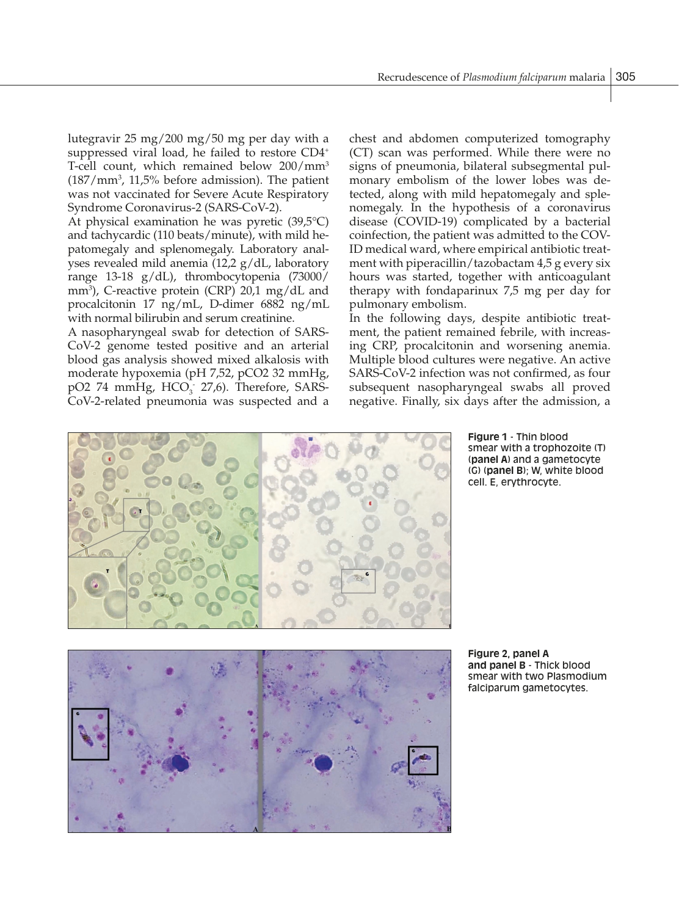lutegravir 25 mg/200 mg/50 mg per day with a suppressed viral load, he failed to restore CD4+ T-cell count, which remained below 200/mm3 (187/mm3 , 11,5% before admission). The patient was not vaccinated for Severe Acute Respiratory Syndrome Coronavirus-2 (SARS-CoV-2).

At physical examination he was pyretic (39,5°C) and tachycardic (110 beats/minute), with mild hepatomegaly and splenomegaly. Laboratory analyses revealed mild anemia (12,2 g/dL, laboratory range 13-18 g/dL), thrombocytopenia (73000/ mm3 ), C-reactive protein (CRP) 20,1 mg/dL and procalcitonin 17 ng/mL, D-dimer 6882 ng/mL with normal bilirubin and serum creatinine.

A nasopharyngeal swab for detection of SARS-CoV-2 genome tested positive and an arterial blood gas analysis showed mixed alkalosis with moderate hypoxemia (pH 7,52, pCO2 32 mmHg,  $pO2$  74 mmHg,  $HCO<sub>3</sub>$  27,6). Therefore, SARS-CoV-2-related pneumonia was suspected and a

chest and abdomen computerized tomography (CT) scan was performed. While there were no signs of pneumonia, bilateral subsegmental pulmonary embolism of the lower lobes was detected, along with mild hepatomegaly and splenomegaly. In the hypothesis of a coronavirus disease (COVID-19) complicated by a bacterial coinfection, the patient was admitted to the COV-ID medical ward, where empirical antibiotic treatment with piperacillin/tazobactam 4,5 g every six hours was started, together with anticoagulant therapy with fondaparinux 7,5 mg per day for pulmonary embolism.

In the following days, despite antibiotic treatment, the patient remained febrile, with increasing CRP, procalcitonin and worsening anemia. Multiple blood cultures were negative. An active SARS-CoV-2 infection was not confirmed, as four subsequent nasopharyngeal swabs all proved negative. Finally, six days after the admission, a



**Figure 1** - Thin blood smear with a trophozoite (T) (**panel A**) and a gametocyte (G) (**panel B**); W, white blood cell. E, erythrocyte.



**Figure 2, panel A and panel B** - Thick blood smear with two Plasmodium falciparum gametocytes.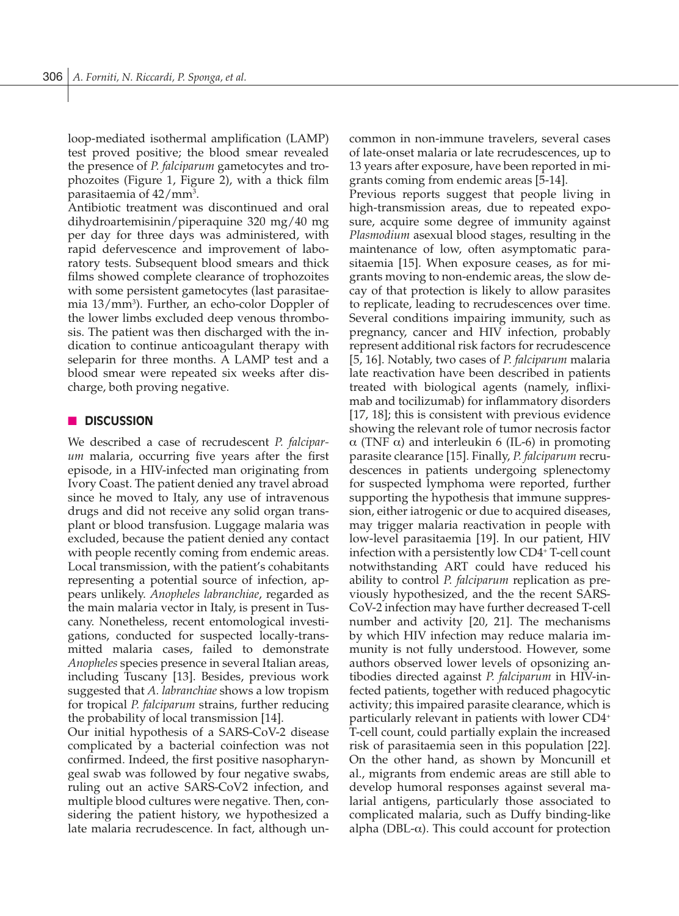loop-mediated isothermal amplification (LAMP) test proved positive; the blood smear revealed the presence of *P. falciparum* gametocytes and trophozoites (Figure 1, Figure 2), with a thick film parasitaemia of  $42/\mathrm{mm}^3$ .

Antibiotic treatment was discontinued and oral dihydroartemisinin/piperaquine 320 mg/40 mg per day for three days was administered, with rapid defervescence and improvement of laboratory tests. Subsequent blood smears and thick films showed complete clearance of trophozoites with some persistent gametocytes (last parasitaemia 13/mm3 ). Further, an echo-color Doppler of the lower limbs excluded deep venous thrombosis. The patient was then discharged with the indication to continue anticoagulant therapy with seleparin for three months. A LAMP test and a blood smear were repeated six weeks after discharge, both proving negative.

#### n **DISCUSSION**

We described a case of recrudescent *P. falciparum* malaria, occurring five years after the first episode, in a HIV-infected man originating from Ivory Coast. The patient denied any travel abroad since he moved to Italy, any use of intravenous drugs and did not receive any solid organ transplant or blood transfusion. Luggage malaria was excluded, because the patient denied any contact with people recently coming from endemic areas. Local transmission, with the patient's cohabitants representing a potential source of infection, appears unlikely. *Anopheles labranchiae*, regarded as the main malaria vector in Italy, is present in Tuscany. Nonetheless, recent entomological investigations, conducted for suspected locally-transmitted malaria cases, failed to demonstrate *Anopheles* species presence in several Italian areas, including Tuscany [13]. Besides, previous work suggested that *A. labranchiae* shows a low tropism for tropical *P. falciparum* strains, further reducing the probability of local transmission [14].

Our initial hypothesis of a SARS-CoV-2 disease complicated by a bacterial coinfection was not confirmed. Indeed, the first positive nasopharyngeal swab was followed by four negative swabs, ruling out an active SARS-CoV2 infection, and multiple blood cultures were negative. Then, considering the patient history, we hypothesized a late malaria recrudescence. In fact, although uncommon in non-immune travelers, several cases of late-onset malaria or late recrudescences, up to 13 years after exposure, have been reported in migrants coming from endemic areas [5-14].

Previous reports suggest that people living in high-transmission areas, due to repeated exposure, acquire some degree of immunity against *Plasmodium* asexual blood stages, resulting in the maintenance of low, often asymptomatic parasitaemia [15]. When exposure ceases, as for migrants moving to non-endemic areas, the slow decay of that protection is likely to allow parasites to replicate, leading to recrudescences over time. Several conditions impairing immunity, such as pregnancy, cancer and HIV infection, probably represent additional risk factors for recrudescence [5, 16]. Notably, two cases of *P. falciparum* malaria late reactivation have been described in patients treated with biological agents (namely, infliximab and tocilizumab) for inflammatory disorders [17, 18]; this is consistent with previous evidence showing the relevant role of tumor necrosis factor α (TNF α) and interleukin 6 (IL-6) in promoting parasite clearance [15]. Finally, *P. falciparum* recrudescences in patients undergoing splenectomy for suspected lymphoma were reported, further supporting the hypothesis that immune suppression, either iatrogenic or due to acquired diseases, may trigger malaria reactivation in people with low-level parasitaemia [19]. In our patient, HIV infection with a persistently low CD4<sup>+</sup> T-cell count notwithstanding ART could have reduced his ability to control *P. falciparum* replication as previously hypothesized, and the the recent SARS-CoV-2 infection may have further decreased T-cell number and activity [20, 21]. The mechanisms by which HIV infection may reduce malaria immunity is not fully understood. However, some authors observed lower levels of opsonizing antibodies directed against *P. falciparum* in HIV-infected patients, together with reduced phagocytic activity; this impaired parasite clearance, which is particularly relevant in patients with lower CD4+ T-cell count, could partially explain the increased risk of parasitaemia seen in this population [22]. On the other hand, as shown by Moncunill et al., migrants from endemic areas are still able to develop humoral responses against several malarial antigens, particularly those associated to complicated malaria, such as Duffy binding-like alpha (DBL- $\alpha$ ). This could account for protection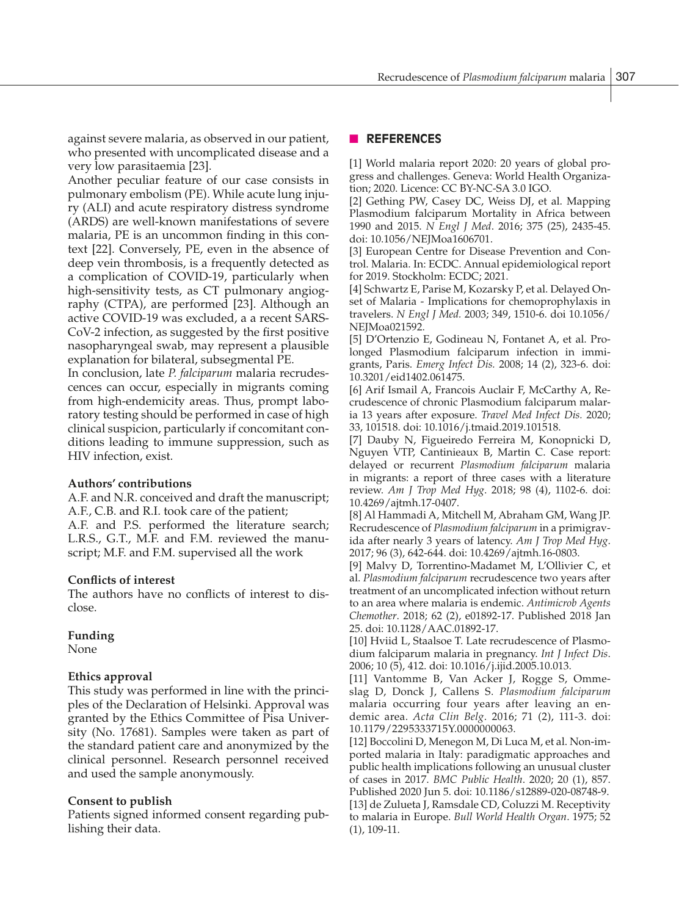against severe malaria, as observed in our patient, who presented with uncomplicated disease and a very low parasitaemia [23].

Another peculiar feature of our case consists in pulmonary embolism (PE). While acute lung injury (ALI) and acute respiratory distress syndrome (ARDS) are well-known manifestations of severe malaria, PE is an uncommon finding in this context [22]. Conversely, PE, even in the absence of deep vein thrombosis, is a frequently detected as a complication of COVID-19, particularly when high-sensitivity tests, as CT pulmonary angiography (CTPA), are performed [23]. Although an active COVID-19 was excluded, a a recent SARS-CoV-2 infection, as suggested by the first positive nasopharyngeal swab, may represent a plausible explanation for bilateral, subsegmental PE.

In conclusion, late *P. falciparum* malaria recrudescences can occur, especially in migrants coming from high-endemicity areas. Thus, prompt laboratory testing should be performed in case of high clinical suspicion, particularly if concomitant conditions leading to immune suppression, such as HIV infection, exist.

### **Authors' contributions**

A.F. and N.R. conceived and draft the manuscript; A.F., C.B. and R.I. took care of the patient;

A.F. and P.S. performed the literature search; L.R.S., G.T., M.F. and F.M. reviewed the manuscript; M.F. and F.M. supervised all the work

### **Conflicts of interest**

The authors have no conflicts of interest to disclose.

## **Funding**

None

## **Ethics approval**

This study was performed in line with the principles of the Declaration of Helsinki. Approval was granted by the Ethics Committee of Pisa University (No. 17681). Samples were taken as part of the standard patient care and anonymized by the clinical personnel. Research personnel received and used the sample anonymously.

## **Consent to publish**

Patients signed informed consent regarding publishing their data.

## n **REFERENCES**

[1] World malaria report 2020: 20 years of global progress and challenges. Geneva: World Health Organization; 2020. Licence: CC BY-NC-SA 3.0 IGO.

[2] Gething PW, Casey DC, Weiss DJ, et al. Mapping Plasmodium falciparum Mortality in Africa between 1990 and 2015. *N Engl J Med*. 2016; 375 (25), 2435-45. doi: 10.1056/NEJMoa1606701.

[3] European Centre for Disease Prevention and Control. Malaria. In: ECDC. Annual epidemiological report for 2019. Stockholm: ECDC; 2021.

[4] Schwartz E, Parise M, Kozarsky P, et al. Delayed Onset of Malaria - Implications for chemoprophylaxis in travelers. *N Engl J Med.* 2003; 349, 1510-6. doi 10.1056/ NEJMoa021592.

[5] D'Ortenzio E, Godineau N, Fontanet A, et al. Prolonged Plasmodium falciparum infection in immigrants, Paris. *Emerg Infect Dis.* 2008; 14 (2), 323-6. doi: 10.3201/eid1402.061475.

[6] Arif Ismail A, Francois Auclair F, McCarthy A, Recrudescence of chronic Plasmodium falciparum malaria 13 years after exposure. *Travel Med Infect Dis.* 2020; 33, 101518. doi: 10.1016/j.tmaid.2019.101518.

[7] Dauby N, Figueiredo Ferreira M, Konopnicki D, Nguyen VTP, Cantinieaux B, Martin C. Case report: delayed or recurrent *Plasmodium falciparum* malaria in migrants: a report of three cases with a literature review. *Am J Trop Med Hyg*. 2018; 98 (4), 1102-6. doi: 10.4269/ajtmh.17-0407.

[8] Al Hammadi A, Mitchell M, Abraham GM, Wang JP. Recrudescence of *Plasmodium falciparum* in a primigravida after nearly 3 years of latency. *Am J Trop Med Hyg*. 2017; 96 (3), 642-644. doi: 10.4269/ajtmh.16-0803.

[9] Malvy D, Torrentino-Madamet M, L'Ollivier C, et al. *Plasmodium falciparum* recrudescence two years after treatment of an uncomplicated infection without return to an area where malaria is endemic. *Antimicrob Agents Chemother*. 2018; 62 (2), e01892-17. Published 2018 Jan 25. doi: 10.1128/AAC.01892-17.

[10] Hviid L, Staalsoe T. Late recrudescence of Plasmodium falciparum malaria in pregnancy. *Int J Infect Dis*. 2006; 10 (5), 412. doi: 10.1016/j.ijid.2005.10.013.

[11] Vantomme B, Van Acker J, Rogge S, Ommeslag D, Donck J, Callens S. *Plasmodium falciparum* malaria occurring four years after leaving an endemic area. *Acta Clin Belg*. 2016; 71 (2), 111-3. doi: 10.1179/2295333715Y.0000000063.

[12] Boccolini D, Menegon M, Di Luca M, et al. Non-imported malaria in Italy: paradigmatic approaches and public health implications following an unusual cluster of cases in 2017. *BMC Public Health*. 2020; 20 (1), 857. Published 2020 Jun 5. doi: 10.1186/s12889-020-08748-9. [13] de Zulueta J, Ramsdale CD, Coluzzi M. Receptivity to malaria in Europe. *Bull World Health Organ*. 1975; 52 (1), 109-11.